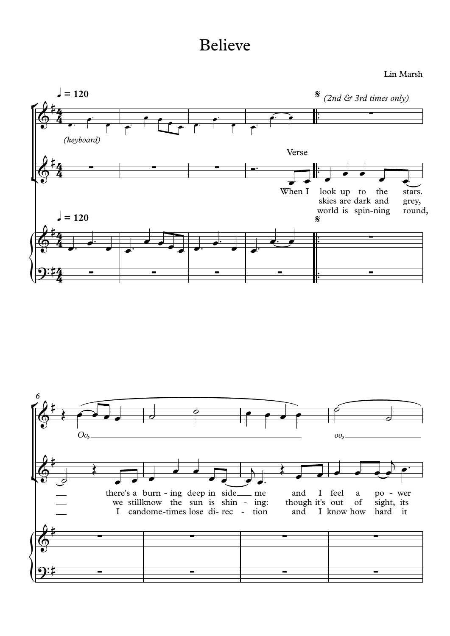## Believe

Lin Marsh



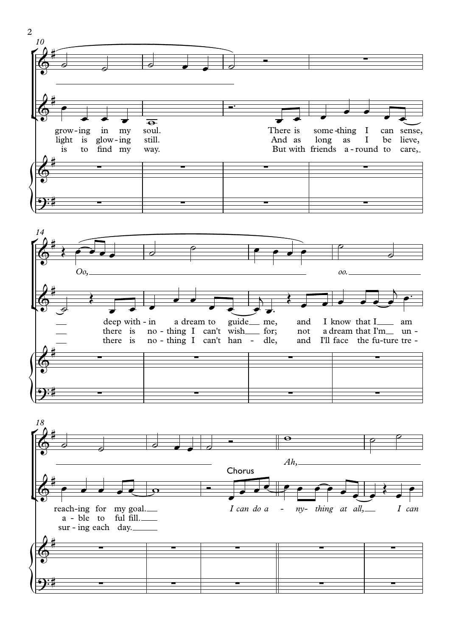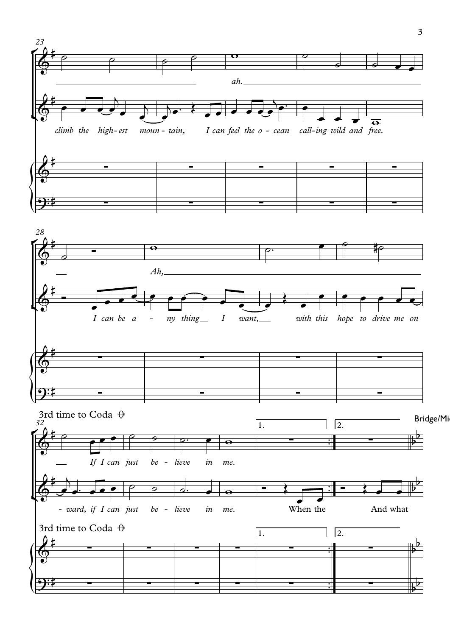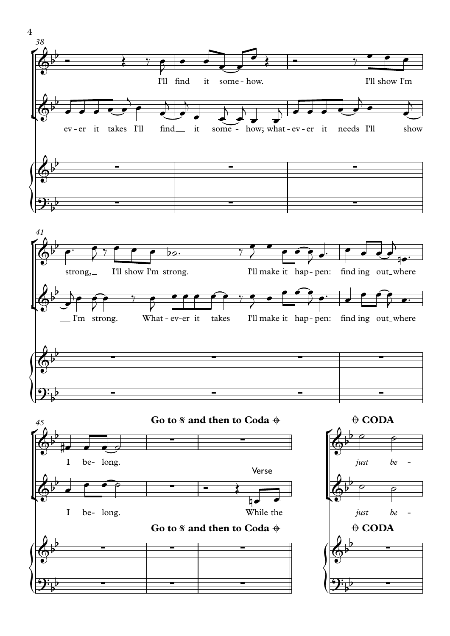